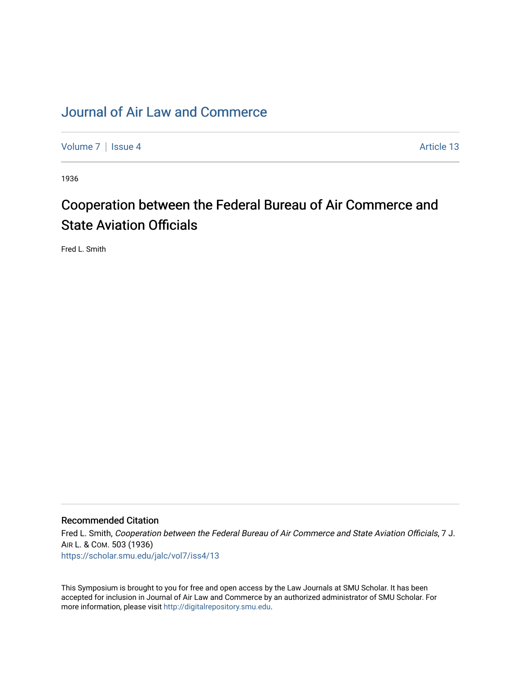## [Journal of Air Law and Commerce](https://scholar.smu.edu/jalc)

[Volume 7](https://scholar.smu.edu/jalc/vol7) | [Issue 4](https://scholar.smu.edu/jalc/vol7/iss4) Article 13

1936

# Cooperation between the Federal Bureau of Air Commerce and State Aviation Officials

Fred L. Smith

### Recommended Citation

Fred L. Smith, Cooperation between the Federal Bureau of Air Commerce and State Aviation Officials, 7 J. AIR L. & COM. 503 (1936) [https://scholar.smu.edu/jalc/vol7/iss4/13](https://scholar.smu.edu/jalc/vol7/iss4/13?utm_source=scholar.smu.edu%2Fjalc%2Fvol7%2Fiss4%2F13&utm_medium=PDF&utm_campaign=PDFCoverPages) 

This Symposium is brought to you for free and open access by the Law Journals at SMU Scholar. It has been accepted for inclusion in Journal of Air Law and Commerce by an authorized administrator of SMU Scholar. For more information, please visit [http://digitalrepository.smu.edu](http://digitalrepository.smu.edu/).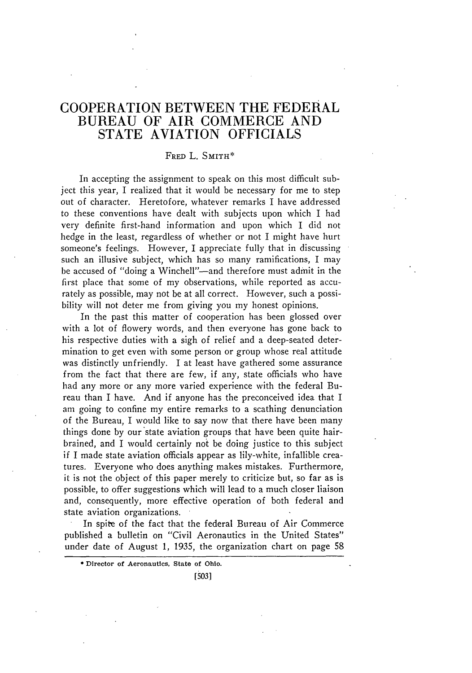## COOPERATION **BETWEEN** THE FEDERAL **BUREAU** OF AIR COMMERCE **AND STATE AVIATION OFFICIALS**

#### **FRED** L. SMITH\*

In accepting the assignment to speak on this most difficult subject this year, I realized that it would be necessary for me to step out of character. Heretofore, whatever remarks I have addressed to these conventions have dealt with subjects upon which I had very definite first-hand information and upon which I did not hedge in the least, regardless of whether or not I might have hurt someone's feelings. However, I appreciate fully that in discussing such an illusive subject, which has so many ramifications, I may be accused of "doing a Winchell"-and therefore must admit in the first place that some of my observations, while reported as accurately as possible, may not be at all correct. However, such a possibility will not deter me from giving you my honest opinions.

In the past this matter of cooperation has been glossed over with a lot of flowery words, and then everyone has gone back to his respective duties with a sigh of relief and a deep-seated determination to get even with some person or group whose real attitude was distinctly unfriendly. I at least have gathered some assurance from the fact that there are few, if any, state officials who have had any more or any more varied experience with the federal Bureau than I have. And if anyone has the preconceived idea that I am going to confine my entire remarks to a scathing denunciation of the Bureau, I would like to say now that there have been many things done by our state aviation groups that have been quite hairbrained, and I would certainly not be doing justice to this subject if I made state aviation officials appear as lily-white, infallible creatures. Everyone who does anything makes mistakes. Furthermore, it is not the object of this paper merely to criticize but, so far as is possible, to offer suggestions which will lead to a much closer liaison and, consequently, more effective operation of both federal and state aviation organizations.

In spite of the fact that the federal Bureau of Air Commerce published a bulletin on "Civil Aeronautics in the United States" under date of August 1, 1935, the organization chart on page 58

[5031

<sup>\*</sup> **Director of** Aeronautics, **State of** Ohio.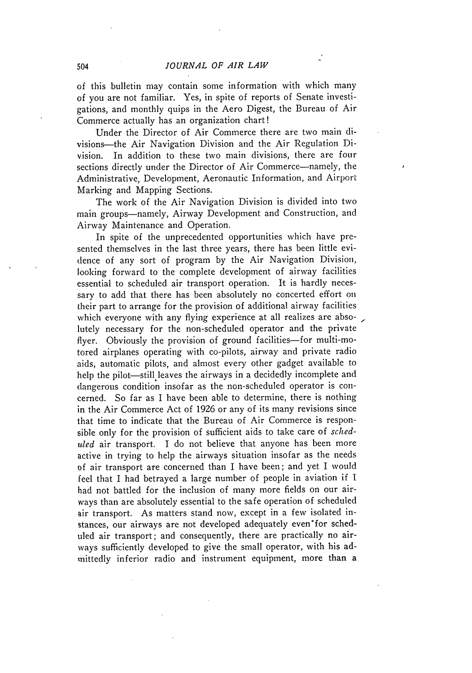of this bulletin may contain some information with which many of you are not familiar. Yes, in spite of reports of Senate investigations, and monthly quips in the Aero Digest, the Bureau of Air Commerce actually has an organization chart!

Under the Director of Air Commerce there are two main divisions-the Air Navigation Division and the Air Regulation Division. In addition to these two main divisions, there are four sections directly under the Director of Air Commerce—namely, the Administrative, Development, Aeronautic Information, and Airport Marking and Mapping Sections.

The work of the Air Navigation Division is divided into two main groups-namely, Airway Development and Construction, and Airway Maintenance and Operation.

In spite of the unprecedented opportunities which have presented themselves in the last three years, there has been little evidence of any sort of program by the Air Navigation Division, looking forward to the complete development of airway facilities essential to scheduled air transport operation. It is hardly necessary to add that there has been absolutely no concerted effort on their part to arrange for the provision of additional airway facilities which everyone with any flying experience at all realizes are absolutely necessary for the non-scheduled operator and the private flyer. Obviously the provision of ground facilities-for multi-motored airplanes operating with co-pilots, airway and private radio aids, automatic pilots, and almost every other gadget available to help the pilot-still leaves the airways in a decidedly incomplete and dangerous condition insofar as the non-scheduled operator is concerned. So far as I have been able to determine, there is nothing in the Air Commerce Act of 1926 or any of its many revisions since that time to indicate that the Bureau of Air Commerce is responsible only for the provision of sufficient aids to take care of *schediled* air transport. I do not believe that anyone has been more active in trying to help the airways situation insofar as the needs of air transport are concerned than I have been; and yet I would feel that I had betrayed a large number of people in aviation if **I** had not battled for the inclusion of many more fields on our airways than are absolutely essential to the safe operation of scheduled air transport. As matters stand now, except in a few isolated instances, our airways are not developed adequately even'for scheduled air transport; and consequently, there are practically no airways sufficiently developed to give the small operator, with his admittedly inferior radio and instrument equipment, more than a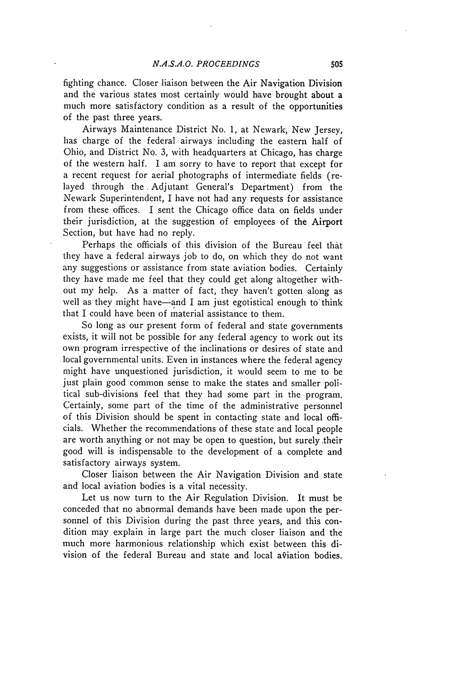fighting chance. Closer liaison between the Air Navigation Division and the various states most certainly would have brought about a much more satisfactory condition as a result of the opportunities of the past three years.

Airways Maintenance District No. 1, at Newark, New Jersey, has charge of the federal airways including the eastern half of Ohio, and District No. 3, with headquarters at Chicago, has charge of the western half. I am sorry to have to report that except for a recent request for aerial photographs of intermediate fields (relayed through the. Adjutant General's Department) from the Newark Superintendent, I have not had any requests for assistance from these offices. I sent the Chicago office data on fields under their jurisdiction, at the suggestion of employees of the Airport Section, but have had no reply.

Perhaps the officials of this division of the Bureau feel that they have a federal airways job to do, on which they do not want any suggestions or assistance from state aviation bodies. Certainly they have made me feel that they could get along altogether without my help. As a matter of fact, they haven't gotten along as well as they might have—and I am just egotistical enough to think that I could have been of material assistance to them.

So long as our present form of federal and state governments exists, it will not be possible for any federal agency to work out its own program irrespective of the inclinations or desires of state and local governmental units. Even in instances where the federal agency might have unquestioned jurisdiction, it would seem to me to be just plain good common sense to make the states and smaller political sub-divisions feel that they had some part in the program. Certainly, some part of the time of the administrative personnel of this Division should be spent in contacting state and local officials. Whether the recommendations of these state and local people are worth anything or not may be open to question, but surely .their good will is indispensable to the development of a complete and satisfactory airways system.

Closer liaison between the Air Navigation Division and state and local aviation bodies is a vital necessity.

Let us now turn to the Air Regulation Division. It must be conceded that no abnormal demands have been made upon the personnel of this Division during the past three years, and this condition may explain in large part the much closer liaison and the much more harmonious relationship which exist between this division of the federal Bureau and state and local a $\hat{v}$ iation bodies.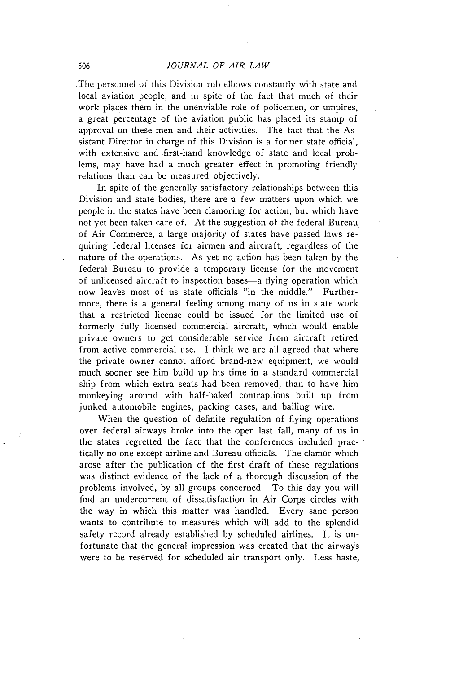.The personnel of this Division rub elbows constantly with state and local aviation people, and in spite of the fact that much of their work places them in the unenviable role of policemen, or umpires, a great percentage of the aviation public has placed its stamp of approval on these men and their activities. The fact that the Assistant Director in charge of this Division is a former state official, with extensive and first-hand knowledge of state and local problems, may have had a much greater effect in promoting friendly relations than can be measured objectively.

In spite of the generally satisfactory relationships between this Division and state bodies, there are a few matters upon which we people in the states have been clamoring for action, but which have not yet been taken care of. At the suggestion of the federal Bureau of Air Commerce, a large majority of states have passed laws requiring federal licenses for airmen and aircraft, regardless of the nature of the operations. As yet no action has been taken **by** the federal Bureau to provide a temporary license for the movement of unlicensed aircraft to inspection bases—a flying operation which now leaves most of us state officials "in the middle." Furthermore, there is a general feeling among many of us in state work that a restricted license could be issued for the limited use of formerly fully licensed commercial aircraft, which would enable private owners to get considerable service from aircraft retired from active commercial use. I think we are all agreed that where the private owner cannot afford brand-new equipment, we would much sooner see him build up his time in a standard commercial ship from which extra seats had been removed, than to have him monkeying around with half-baked contraptions built up from junked automobile engines, packing cases, and bailing wire.

When the question of definite regulation of flying operations over federal airways broke into the open last fall, many of us in the states regretted the fact that the conferences included practically no one except airline and Bureau officials. The clamor which arose after the publication of the first draft of these regulations was distinct evidence of the lack of a thorough discussion of the problems involved, **by** all groups concerned. To this day you will find an undercurrent of dissatisfaction in Air Corps circles with the way in which this matter was handled. Every sane person wants to contribute to measures which will add to the splendid safety record already established **by** scheduled airlines. It is unfortunate that the general impression was created that the airways were to be reserved for scheduled air transport only. Less haste,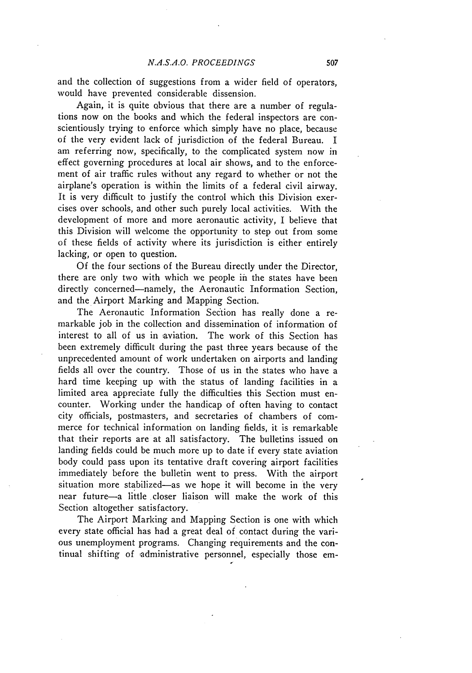and the collection of suggestions from a wider field of operators, would have prevented considerable dissension.

Again, it is quite obvious that there are a number of regulations now on the books and which the federal inspectors are conscientiously trying to enforce which simply have no place, because of the very evident lack of jurisdiction of the federal Bureau. I am referring now, specifically, to the complicated system now in effect governing procedures at local air shows, and to the enforcement of air traffic rules without any regard to whether or not the airplane's operation is within the limits of a federal civil airway. It is very difficult to justify the control which this Division exercises over schools, and other such purely local activities. With the development of more and more aeronautic activity, I believe that this Division will welcome the opportunity to step out from some of these fields of activity where its jurisdiction is either entirely lacking, or open to question.

Of the four sections of the Bureau directly under the Director, there are only two with which we people in the states have been directly concerned-namely, the Aeronautic Information Section. and the Airport Marking and Mapping Section.

The Aeronautic Information Section has really done a remarkable job in the collection and dissemination of information of interest to all of us in aviation. The work of this Section has been extremely difficult during the past three years because of the unprecedented amount of work undertaken on airports and landing fields all over the country. Those of us in the states who have a hard time keeping up with the status of landing facilities in a limited area appreciate fully the difficulties this Section must encounter. Working under the handicap of often having to contact city officials, postmasters, and secretaries of chambers of commerce for technical information on landing fields, it is remarkable that their reports are at all satisfactory. The bulletins issued on landing fields could be much more up to date if every state aviation body could pass upon its tentative draft covering airport facilities immediately before the bulletin went to press. With the airport situation more stabilized-as we hope it will become in the very near future-a little closer liaison will make the work of this Section altogether satisfactory.

The Airport Marking and Mapping Section is one with which every state official has had a great deal of contact during the various unemployment programs. Changing requirements and the continual shifting of administrative personnel, especially those em-

**I**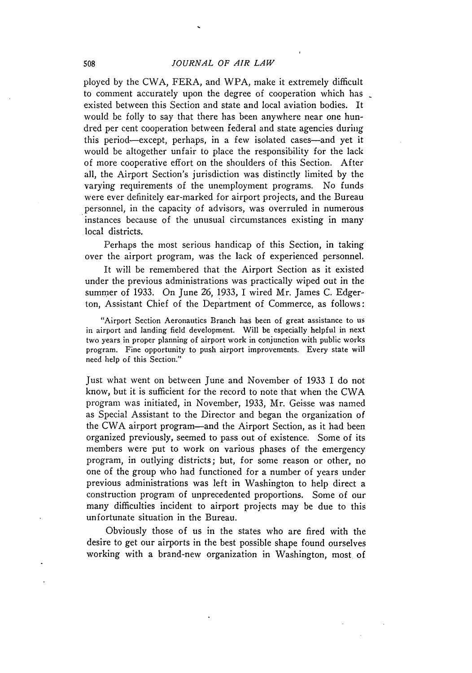ployed by the CWA, FERA, and WPA, make it extremely difficult to comment accurately upon the degree of cooperation which has existed between this Section and state and local aviation bodies. It would be folly to say that there has been anywhere near one hundred per cent cooperation between federal and state agencies during this period-except, perhaps, in a few isolated cases-and yet it would be altogether unfair to place the responsibility for the lack of more cooperative effort on the shoulders of this Section. After all, the Airport Section's jurisdiction was distinctly limited by the varying requirements of the unemployment programs. No funds were ever definitely ear-marked for airport projects, and the Bureau personnel, in the capacity of advisors, was overruled in numerous instances because of the unusual circumstances existing in many local districts.

Perhaps the most serious handicap of this Section, in taking over the airport program, was the lack of experienced personnel.

It will be remembered that the Airport Section as it existed under the previous administrations was practically wiped out in the summer of 1933. On June 26, 1933, I wired Mr. James C. Edgerton, Assistant Chief of the Department of Commerce, as follows:

"Airport Section Aeronautics Branch has been of great assistance to us in airport and landing field development. Will be especially helpful in next two years in proper planning of airport work in conjunction with public works program. Fine opportunity to push airport improvements. Every state will need help of this Section."

Just what went on between June and November of 1933 I do not know, but it is sufficient for the record to note that when the CWA program was initiated, in November, 1933, Mr. Geisse was named as Special Assistant to the Director and began the organization of the CWA airport program-and the Airport Section, as it had been organized previously, seemed to pass out of existence. Some of its members were put to work on various phases of the emergency program, in outlying districts; but, for some reason or other, no one of the group who had functioned for a number of years under previous administrations was left in Washington to help direct a construction program of unprecedented proportions. Some of our many difficulties incident to airport projects may be due to this unfortunate situation in the Bureau.

Obviously those of us in the states who are fired with the desire to get our airports in the best possible shape found ourselves working with a brand-new organization in Washington, most of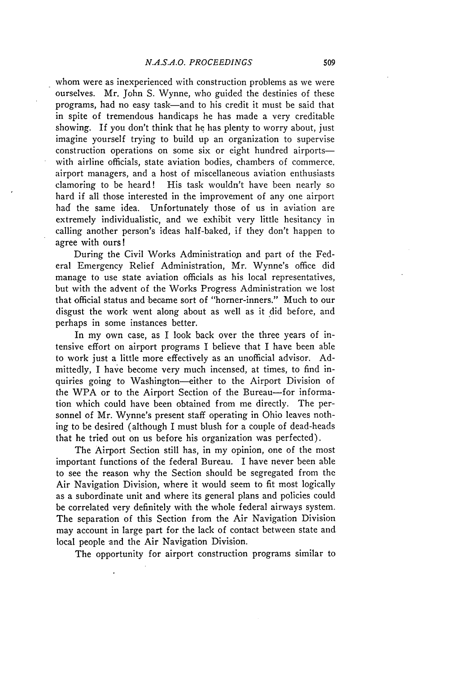whom were as inexperienced with construction problems as we were ourselves. Mr. John S. Wynne, who guided the destinies of these programs, had no easy task-and to his credit it must be said that in spite of tremendous handicaps he has made a very creditable showing. If you don't think that he has plenty to worry about, just imagine yourself trying to build up an organization to supervise construction operations on some six or eight hundred airportswith airline officials, state aviation bodies, chambers of commerce. airport managers, and a host of miscellaneous aviation enthusiasts clamoring to be heard! His task wouldn't have been nearly so hard if all those interested in the improvement of any one airport had the same idea. Unfortunately those of us in aviation are extremely individualistic, and we exhibit very little hesitancy in calling another person's ideas half-baked, if they don't happen to agree with ours!

During the Civil Works Administration and part of the Federal Emergency Relief Administration, Mr. Wynne's office did manage to use state aviation officials as his local representatives, but with the advent of the Works Progress Administration we lost that official status and became sort of "horner-inners." Much to our disgust the work went along about as well as it did before, and perhaps in some instances better.

In my own case, as I look back over the three years of intensive effort on airport programs I believe that I have been able to work just a little more effectively as an unofficial advisor. Admittedly, I have become very much incensed, at times, to find inquiries going to Washington-either to the Airport Division of the WPA or to the Airport Section of the Bureau-for information which could have been obtained from me directly. The personnel of Mr. Wynne's present staff operating in Ohio leaves nothing to be desired (although I must blush for a couple of dead-heads that he tried out on us before his organization was perfected).

The Airport Section still has, in my opinion, one of the most important functions of the federal Bureau. I have never been able to see the reason why the Section should be segregated from the Air Navigation Division, where it would seem to fit most logically as a subordinate unit and where its general plans and policies could be correlated very definitely with the whole federal airways system. The separation of this Section from the Air Navigation Division may account in large part for the lack of contact between state and local people 'and the Air Navigation Division.

The opportunity for airport construction programs similar to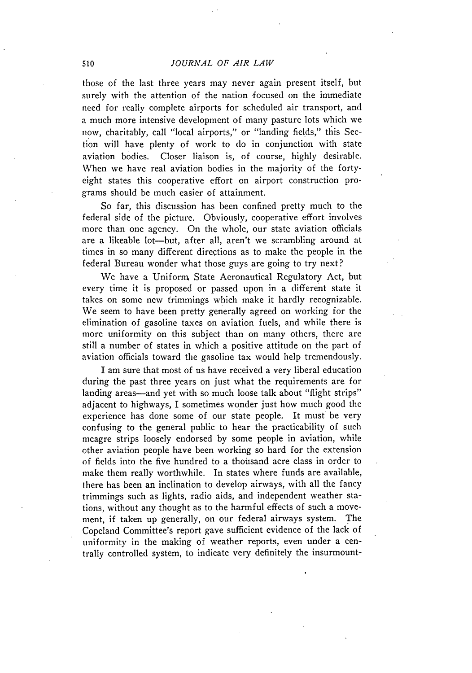those of the last three years may never again present itself, but surely with the attention of the nation focused on the immediate need for really complete airports for scheduled air transport, and a much more intensive development of many pasture lots which we now, charitably, call "local airports," or "landing fields," this Section will have plenty of work to do in conjunction with state aviation bodies. Closer liaison is, of course, highly desirable. When we have real aviation bodies in the majority of the fortyeight states this cooperative effort on airport construction programs should be much easier of attainment.

So far, this discussion has been confined pretty much to the federal side of the picture. Obviously, cooperative effort involves more than one agency. On the whole, our state aviation officials are a likeable lot-but, after all, aren't we scrambling around at times in so many different directions as to make the people in the federal Bureau wonder what those guys are going to try next?

We have a Uniform State Aeronautical Regulatory Act, but every time it is proposed or passed upon in a different state it takes on some new trimmings which make it hardly recognizable. We seem to have been pretty generally agreed on working for the elimination of gasoline taxes on aviation fuels, and while there is more uniformity on this subject than on many others, there are still a number of states in which a positive attitude on the part of aviation officials toward the gasoline tax would help tremendously.

I am sure that most of us have received a very liberal education during the past three years on just what the requirements are for landing areas—and yet with so much loose talk about "flight strips" adjacent to highways, I sometimes wonder just how much good the experience has done some of our state people. It must be very confusing to the general public to hear the practicability of such meagre strips loosely endorsed by some people in aviation, while other aviation people have been working so hard for the extension of fields into the five hundred to a thousand acre class in order to make them really worthwhile. In states where funds are available, there has been an inclination to develop airways, with all the fancy trimmings such as lights, radio aids, and independent weather stations, without any thought as to the harmful effects of such a movement, if taken up generally, on our federal airways system. The Copeland Committee's report gave sufficient evidence of the lack of uniformity in the making of weather reports, even under a centrally controlled system, to indicate very definitely the insurmount-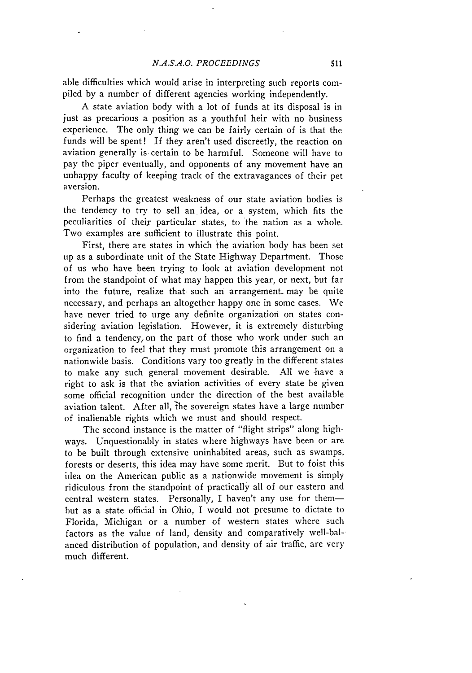#### *N.A.S.A.0. PROCEEDINGS*

able difficulties which would arise in interpreting such reports compiled by a number of different agencies working independently.

A state aviation body with a lot of funds at its disposal is in just as precarious a position as a youthful heir with no business experience. The only thing we can be fairly certain of is that the funds will be spent! If they aren't used discreetly, the reaction on aviation generally is certain to be harmful. Someone will have to pay the piper eventually, and opponents of any movement have an unhappy faculty of keeping track of the extravagances of their pet aversion.

Perhaps the greatest weakness of our state aviation bodies is the tendency to try to sell an idea, or a system, which fits the peculiarities of their particular states, to the nation as a whole. Two examples are sufficient to illustrate this point.

First, there are states in which the aviation body has been set up as a subordinate unit of the State Highway Department. Those of us who have been trying to look at aviation development not from the standpoint of what may happen this year, or next, but far into the future, realize that such an arrangement may be quite necessary, and perhaps an altogether happy one in some cases. We have never tried to urge any definite organization on states considering aviation legislation. However, it is extremely disturbing to find a tendency, on the part of those who work under such an organization to feel that they must promote this arrangement on a nationwide basis. Conditions vary too greatly in the different states to make any such general movement desirable. All we have a right to ask is that the aviation activities of every state be given some official recognition under the direction of the best available aviation talent. After all, the sovereign states have a large number of inalienable rights which we must and should respect.

The second instance is the matter of "flight strips" along highways. Unquestionably in states where highways have been or are to be built through extensive uninhabited areas, such as swamps, forests or deserts, this idea may have some merit. But to foist this idea on the American public as a nationwide movement is simply ridiculous from the standpoint of practically all of our eastern and central western states. Personally, I haven't any use for thembut as a state official in Ohio, I would not presume to dictate to Florida, Michigan or a number of western states where such factors as the value of land, density and comparatively well-balanced distribution of population, and density of air traffic, are very much different.